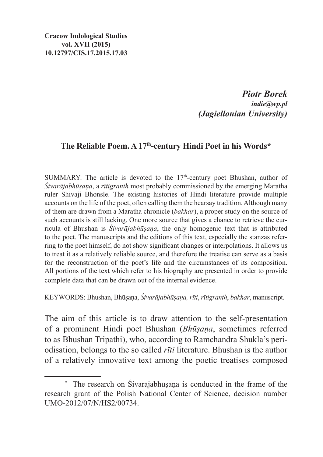**Cracow Indological Studies vol. XVII (2015) 10.12797/CIS.17.2015.17.03**

> *Piotr Borek indie@wp.pl (Jagiellonian University)*

## **The Reliable Poem. A 17th-century Hindi Poet in his Words\***

SUMMARY: The article is devoted to the  $17<sup>th</sup>$ -century poet Bhushan, author of *Śivarājabhūṣaṇa*, a *rītigranth* most probably commissioned by the emerging Maratha ruler Shivaji Bhonsle. The existing histories of Hindi literature provide multiple accounts on the life of the poet, often calling them the hearsay tradition. Although many of them are drawn from a Maratha chronicle (*bakhar*), a proper study on the source of such accounts is still lacking. One more source that gives a chance to retrieve the curricula of Bhushan is *Śivarājabhūṣaṇa*, the only homogenic text that is attributed to the poet. The manuscripts and the editions of this text, especially the stanzas referring to the poet himself, do not show significant changes or interpolations. It allows us to treat it as a relatively reliable source, and therefore the treatise can serve as a basis for the reconstruction of the poet's life and the circumstances of its composition. All portions of the text which refer to his biography are presented in order to provide complete data that can be drawn out of the internal evidence.

Keywords: Bhushan, Bhūṣaṇa, *Śivarājabhūṣaṇa, rīti*, *rītigranth*, *bakhar*, manuscript.

The aim of this article is to draw attention to the self-presentation of a prominent Hindi poet Bhushan (*Bhūṣaṇa*, sometimes referred to as Bhushan Tripathi), who, according to Ramchandra Shukla's periodisation, belongs to the so called *rīti* literature. Bhushan is the author of a relatively innovative text among the poetic treatises composed

<sup>\*</sup> The research on Śivarājabhūṣaṇa is conducted in the frame of the research grant of the Polish National Center of Science, decision number UMO-2012/07/N/HS2/00734.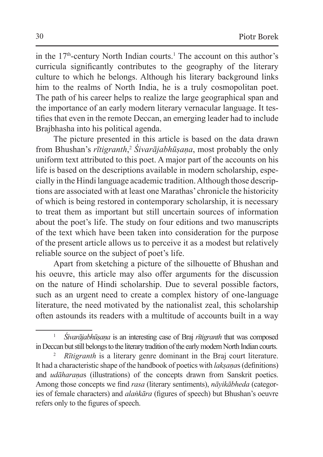in the  $17<sup>th</sup>$ -century North Indian courts.<sup>1</sup> The account on this author's curricula significantly contributes to the geography of the literary culture to which he belongs. Although his literary background links him to the realms of North India, he is a truly cosmopolitan poet. The path of his career helps to realize the large geographical span and the importance of an early modern literary vernacular language. It testifies that even in the remote Deccan, an emerging leader had to include Brajbhasha into his political agenda.

The picture presented in this article is based on the data drawn from Bhushan's *rītigranth*, <sup>2</sup> *Śivarājabhūṣaṇa*, most probably the only uniform text attributed to this poet. A major part of the accounts on his life is based on the descriptions available in modern scholarship, especially in the Hindi language academic tradition. Although those descriptions are associated with at least one Marathas' chronicle the historicity of which is being restored in contemporary scholarship, it is necessary to treat them as important but still uncertain sources of information about the poet's life. The study on four editions and two manuscripts of the text which have been taken into consideration for the purpose of the present article allows us to perceive it as a modest but relatively reliable source on the subject of poet's life.

Apart from sketching a picture of the silhouette of Bhushan and his oeuvre, this article may also offer arguments for the discussion on the nature of Hindi scholarship. Due to several possible factors, such as an urgent need to create a complex history of one-language literature, the need motivated by the nationalist zeal, this scholarship often astounds its readers with a multitude of accounts built in a way

<sup>1</sup> *Śivarājabhūṣaṇa* is an interesting case of Braj *rītigranth* that was composed inDeccan but still belongs to the literary tradition of the early modern North Indian courts.

*Rītigranth* is a literary genre dominant in the Braj court literature. It had a characteristic shape of the handbook of poetics with *lakṣaṇa*s (definitions) and *udāharaṇa*s (illustrations) of the concepts drawn from Sanskrit poetics. Among those concepts we find *rasa* (literary sentiments), *nāyikābheda* (categories of female characters) and *alaṅkāra* (figures of speech) but Bhushan's oeuvre refers only to the figures of speech.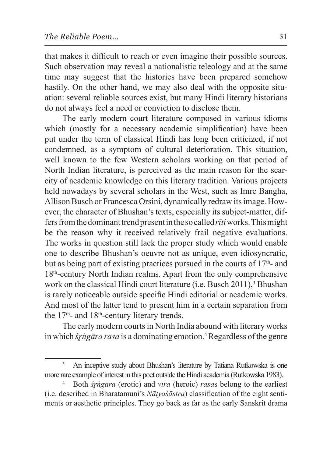that makes it difficult to reach or even imagine their possible sources. Such observation may reveal a nationalistic teleology and at the same time may suggest that the histories have been prepared somehow hastily. On the other hand, we may also deal with the opposite situation: several reliable sources exist, but many Hindi literary historians do not always feel a need or conviction to disclose them.

The early modern court literature composed in various idioms which (mostly for a necessary academic simplification) have been put under the term of classical Hindi has long been criticized, if not condemned, as a symptom of cultural deterioration. This situation, well known to the few Western scholars working on that period of North Indian literature, is perceived as the main reason for the scarcity of academic knowledge on this literary tradition. Various projects held nowadays by several scholars in the West, such as Imre Bangha, Allison Busch or Francesca Orsini, dynamically redraw its image. However, the character of Bhushan's texts, especially its subject-matter, differs from thedominant trend present intheso called *rīti* works. Thismight be the reason why it received relatively frail negative evaluations. The works in question still lack the proper study which would enable one to describe Bhushan's oeuvre not as unique, even idiosyncratic, but as being part of existing practices pursued in the courts of  $17<sup>th</sup>$ - and 18th-century North Indian realms. Apart from the only comprehensive work on the classical Hindi court literature (i.e. Busch  $2011$ ),<sup>3</sup> Bhushan is rarely noticeable outside specific Hindi editorial or academic works. And most of the latter tend to present him in a certain separation from the  $17<sup>th</sup>$ - and  $18<sup>th</sup>$ -century literary trends.

The early modern courts in North India abound with literary works in which *śr̥ṅgāra rasa* is a dominating emotion.4 Regardless of the genre

<sup>3</sup> An inceptive study about Bhushan's literature by Tatiana Rutkowska is one more rare example of interest in this poet outside the Hindi academia (Rutkowska 1983).

<sup>4</sup> Both *śr̥ṅgāra* (erotic) and *vīra* (heroic) *rasa*s belong to the earliest (i.e. described in Bharatamuni's *Nāṭyaśāstra*) classification of the eight sentiments or aesthetic principles. They go back as far as the early Sanskrit drama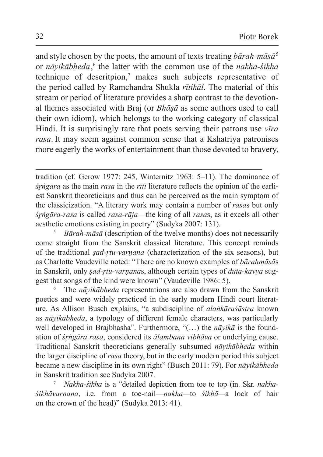and style chosen by the poets, the amount of texts treating *bārah-māsā*<sup>5</sup> or *nāyikābheda*, 6 the latter with the common use of the *nakha-śikha*  technique of descritpion,<sup>7</sup> makes such subjects representative of the period called by Ramchandra Shukla *rītikāl*. The material of this stream or period of literature provides a sharp contrast to the devotional themes associated with Braj (or *Bhāṣā* as some authors used to call their own idiom), which belongs to the working category of classical Hindi. It is surprisingly rare that poets serving their patrons use *vīra rasa*. It may seem against common sense that a Kshatriya patronises more eagerly the works of entertainment than those devoted to bravery,

tradition (cf. Gerow 1977: 245, Winternitz 1963: 5–11). The dominance of *śr̥ṅgāra* as the main *rasa* in the *rīti* literature reflects the opinion of the earliest Sanskrit theoreticians and thus can be perceived as the main symptom of the classicization. "A literary work may contain a number of *rasa*s but only *śr̥ṅgāra-rasa* is called *rasa-rāja*—the king of all *rasa*s, as it excels all other aesthetic emotions existing in poetry" (Sudyka 2007: 131). 5 *Bārah-māsā* (description of the twelve months) does not necessarily

come straight from the Sanskrit classical literature. This concept reminds of the traditional *ṣad-r̥tu-varṇana* (characterization of the six seasons), but as Charlotte Vaudeville noted: "There are no known examples of *bārahmāsā*s in Sanskrit, only *sad-rtu-varnanas*, although certain types of *dūta-kāvya* suggest that songs of the kind were known" (Vaudeville 1986: 5).

<sup>6</sup> The *nāyikābheda* representations are also drawn from the Sanskrit poetics and were widely practiced in the early modern Hindi court literature. As Allison Busch explains, "a subdiscipline of *alaṅkāraśāstra* known as *nāyikābheda*, a typology of different female characters, was particularly well developed in Brajbhasha". Furthermore, "(…) the *nāyikā* is the foundation of *śr̥ṅgāra rasa*, considered its *ālambana vibhāva* or underlying cause. Traditional Sanskrit theoreticians generally subsumed *nāyikābheda* within the larger discipline of *rasa* theory, but in the early modern period this subject became a new discipline in its own right" (Busch 2011: 79). For *nāyikābheda* in Sanskrit tradition see Sudyka 2007.

<sup>7</sup> *Nakha-śikha* is a "detailed depiction from toe to top (in. Skr. *nakhaśikhāvarṇana*, i.e. from a toe-nail—*nakha—*to *śikhā—*a lock of hair on the crown of the head)" (Sudyka 2013: 41).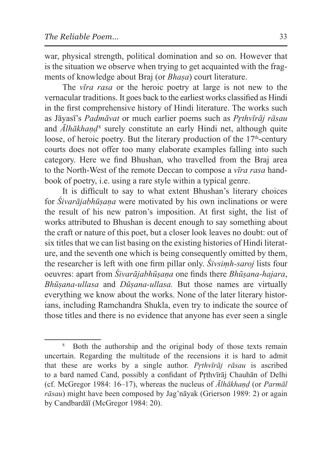war, physical strength, political domination and so on. However that is the situation we observe when trying to get acquainted with the fragments of knowledge about Braj (or *Bhaṣa*) court literature.

The *vīra rasa* or the heroic poetry at large is not new to the vernacular traditions. It goes back to the earliest works classified as Hindi in the first comprehensive history of Hindi literature. The works such as Jāyasī's *Padmāvat* or much earlier poems such as *Pr̥thvīrāj rāsau* and *Ālhākhaṇḍ*<sup>8</sup> surely constitute an early Hindi net, although quite loose, of heroic poetry. But the literary production of the  $17<sup>th</sup>$ -century courts does not offer too many elaborate examples falling into such category. Here we find Bhushan, who travelled from the Braj area to the North-West of the remote Deccan to compose a *vīra rasa* handbook of poetry, i.e. using a rare style within a typical genre.

It is difficult to say to what extent Bhushan's literary choices for *Śivarājabhūṣaṇa* were motivated by his own inclinations or were the result of his new patron's imposition. At first sight, the list of works attributed to Bhushan is decent enough to say something about the craft or nature of this poet, but a closer look leaves no doubt: out of six titles that we can list basing on the existing histories of Hindi literature, and the seventh one which is being consequently omitted by them, the researcher is left with one firm pillar only. *Śivsiṃh-saroj* lists four oeuvres: apart from *Śivarājabhūṣaṇa* one finds there *Bhūṣana-hajara*, *Bhūṣana-ullasa* and *Dūṣana-ullasa.* But those names are virtually everything we know about the works. None of the later literary historians, including Ramchandra Shukla, even try to indicate the source of those titles and there is no evidence that anyone has ever seen a single

<sup>&</sup>lt;sup>8</sup> Both the authorship and the original body of those texts remain uncertain. Regarding the multitude of the recensions it is hard to admit that these are works by a single author. *Pr̥thvīrāj rāsau* is ascribed to a bard named Cand, possibly a confidant of Pr̥thvīrāj Chauhān of Delhi (cf. McGregor 1984: 16–17), whereas the nucleus of *Ālhākhaṇḍ* (or *Parmāl rāsau*) might have been composed by Jag'nāyak (Grierson 1989: 2) or again by Candbardāī (McGregor 1984: 20).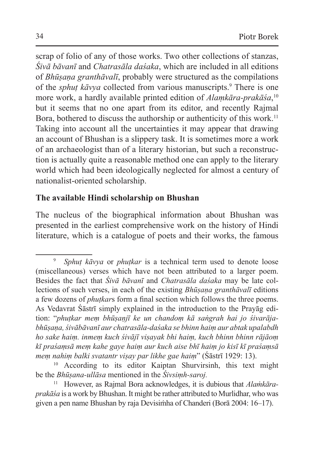scrap of folio of any of those works. Two other collections of stanzas, *Śivā bāvanī* and *Chatrasāla daśaka*, which are included in all editions of *Bhūṣaṇa granthāvalī*, probably were structured as the compilations of the *sphut kāvya* collected from various manuscripts.<sup>9</sup> There is one more work, a hardly available printed edition of *Alaṃkāra-prakāśa*, 10 but it seems that no one apart from its editor, and recently Rajmal Bora, bothered to discuss the authorship or authenticity of this work.<sup>11</sup> Taking into account all the uncertainties it may appear that drawing an account of Bhushan is a slippery task. It is sometimes more a work of an archaeologist than of a literary historian, but such a reconstruction is actually quite a reasonable method one can apply to the literary world which had been ideologically neglected for almost a century of nationalist-oriented scholarship.

### **The available Hindi scholarship on Bhushan**

The nucleus of the biographical information about Bhushan was presented in the earliest comprehensive work on the history of Hindi literature, which is a catalogue of poets and their works, the famous

<sup>9</sup> *Sphuṭ kāvya* or *phuṭkar* is a technical term used to denote loose (miscellaneous) verses which have not been attributed to a larger poem. Besides the fact that *Śivā bāvanī* and *Chatrasāla daśaka* may be late collections of such verses, in each of the existing *Bhūṣaṇa granthāvalī* editions a few dozens of *phuṭkar*s form a final section which follows the three poems. As Vedavrat Śāstrī simply explained in the introduction to the Prayāg edition: "*phuṭkar meṃ bhūṣaṇjī ke un chandoṃ kā saṅgrah hai jo śivarājabhūṣaṇa, śivābāvanī aur chatrasāla-daśaka se bhinn haiṃ aur abtak upalabdh ho sake haiṃ. inmeṃ kuch śivājī viṣayak bhi haiṃ, kuch bhinn bhinn rājāoṃ kī praśaṃsā meṃ kahe gaye haiṃ aur kuch aise bhī haiṃ jo kisī kī praśaṃsā meṃ nahiṃ balki svatantr viṣay par likhe gae haiṃ*" (Śāstrī 1929: 13).

<sup>10</sup> According to its editor Kaiptan Shurvirsinh, this text might be the *Bhūṣana-ullāsa* mentioned in the *Śivsiṃh-saroj.*

<sup>11</sup> However, as Rajmal Bora acknowledges, it is dubious that *Alaṁkāraprakāśa* is a work by Bhushan. It might be rather attributed to Murlidhar, who was given a pen name Bhushan by raja Devisiṁha of Chanderi (Borā 2004: 16–17).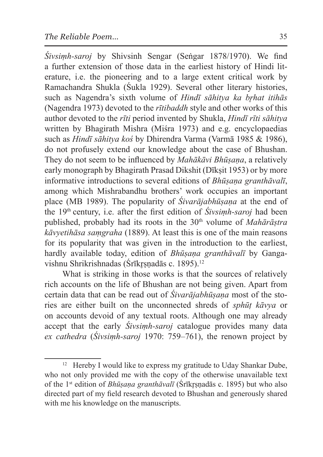*Śivsiṃh-saroj* by Shivsinh Sengar (Seṅgar 1878/1970). We find a further extension of those data in the earliest history of Hindi literature, i.e. the pioneering and to a large extent critical work by Ramachandra Shukla (Śukla 1929). Several other literary histories, such as Nagendra's sixth volume of *Hindī sāhitya ka brhat itihās* (Nagendra 1973) devoted to the *rītibaddh* style and other works of this author devoted to the *rīti* period invented by Shukla, *Hindī rīti sāhitya*  written by Bhagirath Mishra (Miśra 1973) and e.g. encyclopaedias such as *Hindī sāhitya koś* by Dhirendra Varma (Varmā 1985 & 1986), do not profusely extend our knowledge about the case of Bhushan. They do not seem to be influenced by *Mahākāvi Bhūṣaṇa*, a relatively early monograph by Bhagirath Prasad Dikshit (Dīksit 1953) or by more informative introductions to several editions of *Bhūṣaṇa granthāvalī*, among which Mishrabandhu brothers' work occupies an important place (MB 1989). The popularity of *Śivarājabhūṣaṇa* at the end of the 19th century, i.e. after the first edition of *Śivsiṃh-saroj* had been published, probably had its roots in the 30<sup>th</sup> volume of *Mahārāstra kāvyetihāsa saṃgraha* (1889). At least this is one of the main reasons for its popularity that was given in the introduction to the earliest, hardly available today, edition of *Bhūṣaṇa granthāvalī* by Gangavishnu Shrikrishnadas (Śrīkrsnadās c. 1895).<sup>12</sup>

What is striking in those works is that the sources of relatively rich accounts on the life of Bhushan are not being given. Apart from certain data that can be read out of *Śivarājabhūṣaṇa* most of the stories are either built on the unconnected shreds of *sphūṭ kāvya* or on accounts devoid of any textual roots. Although one may already accept that the early *Śivsiṃh-saroj* catalogue provides many data *ex cathedra* (*Śivsiṃh-saroj* 1970: 759–761), the renown project by

<sup>&</sup>lt;sup>12</sup> Hereby I would like to express my gratitude to Uday Shankar Dube, who not only provided me with the copy of the otherwise unavailable text of the 1st edition of *Bhūṣaṇa granthāvalī* (Śrīkr̥ṣṇadās c. 1895) but who also directed part of my field research devoted to Bhushan and generously shared with me his knowledge on the manuscripts.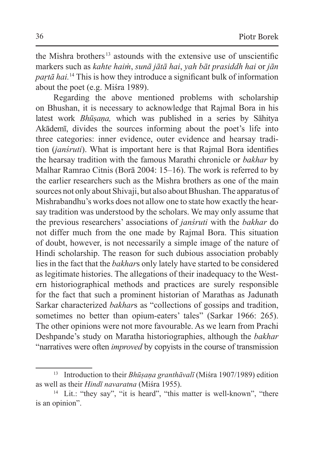the Mishra brothers <sup>13</sup> astounds with the extensive use of unscientific markers such as *kahte haiṁ*, *sunā jātā hai*, *yah bāt prasiddh hai* or *jān paṛtā hai.*<sup>14</sup> This is how they introduce a significant bulk of information about the poet (e.g. Miśra 1989).

Regarding the above mentioned problems with scholarship on Bhushan, it is necessary to acknowledge that Rajmal Bora in his latest work *Bhūṣaṇa,* which was published in a series by Sāhitya Akādemī, divides the sources informing about the poet's life into three categories: inner evidence, outer evidence and hearsay tradition (*janśruti*). What is important here is that Rajmal Bora identifies the hearsay tradition with the famous Marathi chronicle or *bakhar* by Malhar Ramrao Citnis (Borā 2004: 15–16). The work is referred to by the earlier researchers such as the Mishra brothers as one of the main sources not only about Shivaji, but also about Bhushan. The apparatus of Mishrabandhu's works does not allow one to state how exactly the hearsay tradition was understood by the scholars. We may only assume that the previous researchers' associations of *janśruti* with the *bakhar* do not differ much from the one made by Rajmal Bora. This situation of doubt, however, is not necessarily a simple image of the nature of Hindi scholarship. The reason for such dubious association probably lies in the fact that the *bakhar*s only lately have started to be considered as legitimate histories. The allegations of their inadequacy to the Western historiographical methods and practices are surely responsible for the fact that such a prominent historian of Marathas as Jadunath Sarkar characterized *bakhar*s as "collections of gossips and tradition, sometimes no better than opium-eaters' tales" (Sarkar 1966: 265). The other opinions were not more favourable. As we learn from Prachi Deshpande's study on Maratha historiographies, although the *bakhar* "narratives were often *improved* by copyists in the course of transmission

<sup>13</sup> Introduction to their *Bhūṣaṇa granthāvalī* (Miśra 1907/1989) edition as well as their *Hindī navaratna* (Miśra 1955).

<sup>&</sup>lt;sup>14</sup> Lit.: "they say", "it is heard", "this matter is well-known", "there is an opinion".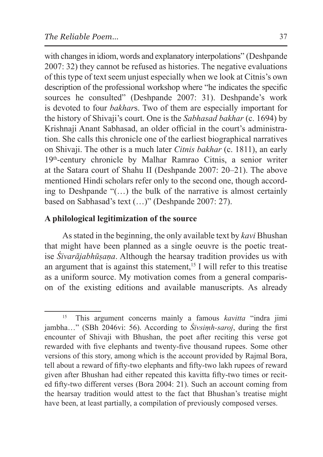with changes in idiom, words and explanatory interpolations" (Deshpande 2007: 32) they cannot be refused as histories. The negative evaluations of this type of text seem unjust especially when we look at Citnis's own description of the professional workshop where "he indicates the specific sources he consulted" (Deshpande 2007: 31). Deshpande's work is devoted to four *bakhar*s. Two of them are especially important for the history of Shivaji's court. One is the *Sabhasad bakhar* (c. 1694) by Krishnaji Anant Sabhasad, an older official in the court's administration. She calls this chronicle one of the earliest biographical narratives on Shivaji. The other is a much later *Citnis bakhar* (c. 1811), an early 19th-century chronicle by Malhar Ramrao Citnis, a senior writer at the Satara court of Shahu II (Deshpande 2007: 20–21). The above mentioned Hindi scholars refer only to the second one, though according to Deshpande "(…) the bulk of the narrative is almost certainly based on Sabhasad's text (…)" (Deshpande 2007: 27).

### **A philological legitimization of the source**

As stated in the beginning, the only available text by *kavi* Bhushan that might have been planned as a single oeuvre is the poetic treatise *Śivarājabhūṣaṇa*. Although the hearsay tradition provides us with an argument that is against this statement,<sup>15</sup> I will refer to this treatise as a uniform source. My motivation comes from a general comparison of the existing editions and available manuscripts. As already

<sup>15</sup> This argument concerns mainly a famous *kavitta* "indra jimi jambha…" (SBh 2046vi: 56). According to *Śivsiṃh-saroj*, during the first encounter of Shivaji with Bhushan, the poet after reciting this verse got rewarded with five elephants and twenty-five thousand rupees. Some other versions of this story, among which is the account provided by Rajmal Bora, tell about a reward of fifty-two elephants and fifty-two lakh rupees of reward given after Bhushan had either repeated this kavitta fifty-two times or recited fifty-two different verses (Bora 2004: 21). Such an account coming from the hearsay tradition would attest to the fact that Bhushan's treatise might have been, at least partially, a compilation of previously composed verses.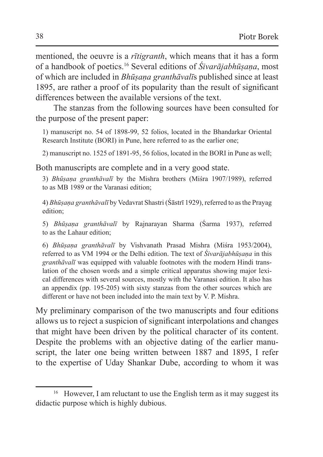mentioned, the oeuvre is a *rītigranth*, which means that it has a form of a handbook of poetics.16 Several editions of *Śivarājabhūṣaṇa*, most of which are included in *Bhūṣaṇa granthāvalī*s published since at least 1895, are rather a proof of its popularity than the result of significant differences between the available versions of the text.

The stanzas from the following sources have been consulted for the purpose of the present paper:

1) manuscript no. 54 of 1898-99, 52 folios, located in the Bhandarkar Oriental Research Institute (BORI) in Pune, here referred to as the earlier one;

2) manuscript no. 1525 of 1891-95, 56 folios, located in the BORI in Pune as well;

Both manuscripts are complete and in a very good state.

3) *Bhūṣaṇa granthāvalī* by the Mishra brothers (Miśra 1907/1989), referred to as MB 1989 or the Varanasi edition;

4) *Bhūṣaṇa granthāvalī* by Vedavrat Shastri (Śāstrī 1929), referred to asthe Prayag edition;

5) *Bhūṣaṇa granthāvalī* by Rajnarayan Sharma (Śarma 1937), referred to as the Lahaur edition;

6) *Bhūṣaṇa granthāvalī* by Vishvanath Prasad Mishra (Miśra 1953/2004), referred to as VM 1994 or the Delhi edition. The text of *Śivarājabhūṣaṇa* in this *granthāvalī* was equipped with valuable footnotes with the modern Hindi translation of the chosen words and a simple critical apparatus showing major lexical differences with several sources, mostly with the Varanasi edition. It also has an appendix (pp. 195-205) with sixty stanzas from the other sources which are different or have not been included into the main text by V. P. Mishra.

My preliminary comparison of the two manuscripts and four editions allows us to reject a suspicion of significant interpolations and changes that might have been driven by the political character of its content. Despite the problems with an objective dating of the earlier manuscript, the later one being written between 1887 and 1895, I refer to the expertise of Uday Shankar Dube, according to whom it was

<sup>&</sup>lt;sup>16</sup> However, I am reluctant to use the English term as it may suggest its didactic purpose which is highly dubious.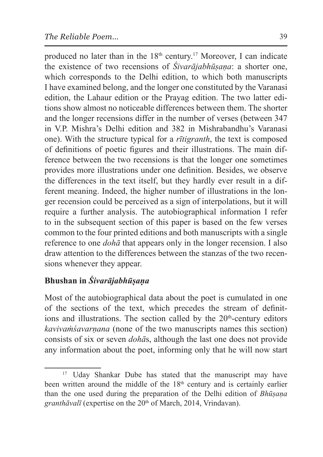produced no later than in the 18<sup>th</sup> century.<sup>17</sup> Moreover, I can indicate the existence of two recensions of *Śivarājabhūṣaṇa*: a shorter one, which corresponds to the Delhi edition, to which both manuscripts I have examined belong, and the longer one constituted by the Varanasi edition, the Lahaur edition or the Prayag edition. The two latter editions show almost no noticeable differences between them. The shorter and the longer recensions differ in the number of verses (between 347 in V.P. Mishra's Delhi edition and 382 in Mishrabandhu's Varanasi one). With the structure typical for a *rītigranth*, the text is composed of definitions of poetic figures and their illustrations. The main difference between the two recensions is that the longer one sometimes provides more illustrations under one definition. Besides, we observe the differences in the text itself, but they hardly ever result in a different meaning. Indeed, the higher number of illustrations in the longer recension could be perceived as a sign of interpolations, but it will require a further analysis. The autobiographical information I refer to in the subsequent section of this paper is based on the few verses common to the four printed editions and both manuscripts with a single reference to one *dohā* that appears only in the longer recension. I also draw attention to the differences between the stanzas of the two recensions whenever they appear.

# **Bhushan in** *Śivarājabhūṣaṇa*

Most of the autobiographical data about the poet is cumulated in one of the sections of the text, which precedes the stream of definitions and illustrations. The section called by the  $20<sup>th</sup>$ -century editors *kavivaṁśavarṇana* (none of the two manuscripts names this section) consists of six or seven *dohā*s, although the last one does not provide any information about the poet, informing only that he will now start

<sup>&</sup>lt;sup>17</sup> Uday Shankar Dube has stated that the manuscript may have been written around the middle of the 18<sup>th</sup> century and is certainly earlier than the one used during the preparation of the Delhi edition of *Bhūṣaṇa*  granthāvalī (expertise on the 20<sup>th</sup> of March, 2014, Vrindavan).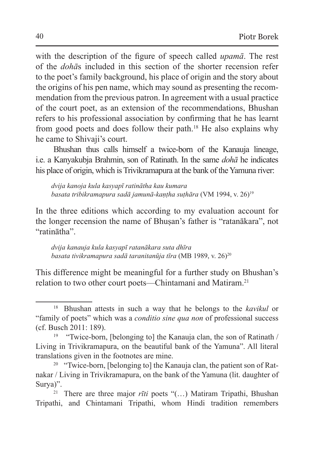with the description of the figure of speech called *upamā*. The rest of the *dohā*s included in this section of the shorter recension refer to the poet's family background, his place of origin and the story about the origins of his pen name, which may sound as presenting the recommendation from the previous patron. In agreement with a usual practice of the court poet, as an extension of the recommendations, Bhushan refers to his professional association by confirming that he has learnt from good poets and does follow their path.18 He also explains why he came to Shivaji's court.

Bhushan thus calls himself a twice-born of the Kanauja lineage, i.e. a Kanyakubja Brahmin, son of Ratinath. In the same *dohā* he indicates his place of origin, which is Trivikramapura at the bank of the Yamuna river:

*dvija kanoja kula kasyapī ratinātha kau kumara basata tribikramapura sadā jamunā-kaṇṭha suṭhāra* (VM 1994, v. 26)19

In the three editions which according to my evaluation account for the longer recension the name of Bhuṣan's father is "ratanākara", not "ratinātha".

*dvija kanauja kula kasyapī ratanākara suta dhīra basata tivikramapura sadā taranitanūja tīra* (MB 1989, v. 26)20

This difference might be meaningful for a further study on Bhushan's relation to two other court poets—Chintamani and Matiram.<sup>21</sup>

<sup>18</sup> Bhushan attests in such a way that he belongs to the *kavikul* or "family of poets" which was a *conditio sine qua non* of professional success (cf. Busch 2011: 189).

<sup>&</sup>lt;sup>19</sup> "Twice-born, [belonging to] the Kanauja clan, the son of Ratinath / Living in Trivikramapura, on the beautiful bank of the Yamuna". All literal translations given in the footnotes are mine.

<sup>&</sup>lt;sup>20</sup> "Twice-born, [belonging to] the Kanauja clan, the patient son of Ratnakar / Living in Trivikramapura, on the bank of the Yamuna (lit. daughter of Surya)".

<sup>21</sup> There are three major *rīti* poets "(…) Matiram Tripathi, Bhushan Tripathi, and Chintamani Tripathi, whom Hindi tradition remembers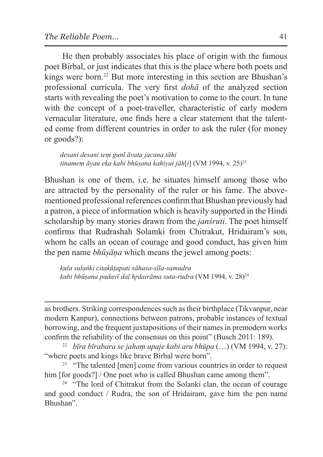He then probably associates his place of origin with the famous poet Birbal, or just indicates that this is the place where both poets and kings were born.<sup>22</sup> But more interesting in this section are Bhushan's professional curricula. The very first *dohā* of the analyzed section starts with revealing the poet's motivation to come to the court. In tune with the concept of a poet-traveller, characteristic of early modern vernacular literature, one finds here a clear statement that the talented come from different countries in order to ask the ruler (for money or goods?):

*desani desani teṃ gunī āvata jacana tāhi tinameṃ āyau eka kabi bhūṣana kahiyai jāh*[*i*] (VM 1994, v. 25)23

Bhushan is one of them, i.e. he situates himself among those who are attracted by the personality of the ruler or his fame. The abovementioned professional references confirm that Bhushan previously had a patron, a piece of information which is heavily supported in the Hindi scholarship by many stories drawn from the *janśruti*. The poet himself confirms that Rudrashah Solamki from Chitrakut, Hridairam's son, whom he calls an ocean of courage and good conduct, has given him the pen name *bhūṣāṇa* which means the jewel among poets:

*kula sulaṅki citakūṭapati sāhasa-sīla-samudra kabi bhūṣana padavī daī hr̥dairāma suta-rudra* (VM 1994, v. 28)24

as brothers. Striking correspondences such as their birthplace (Tikvanpur, near modern Kanpur), connections between patrons, probable instances of textual borrowing, and the frequent juxtapositions of their names in premodern works confirm the reliability of the consensus on this point" (Busch 2011: 189).

<sup>22</sup> *bīra bīrabara se jahaṃ upaje kabi aru bhūpa* (…) (VM 1994, v. 27): "where poets and kings like brave Birbal were born".

<sup>23</sup> "The talented [men] come from various countries in order to request him [for goods?] / One poet who is called Bhushan came among them".

<sup>24</sup> "The lord of Chitrakut from the Solanki clan, the ocean of courage and good conduct / Rudra, the son of Hridairam, gave him the pen name Bhushan".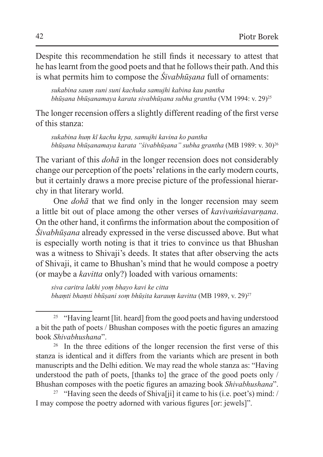Despite this recommendation he still finds it necessary to attest that he has learnt from the good poets and that he follows their path. And this is what permits him to compose the *Śivabhūṣana* full of ornaments:

*sukabina sauṃ suni suni kachuka samujhi kabina kau pantha bhūṣana bhūṣanamaya karata sivabhūṣana subha grantha* (VM 1994: v. 29)25

The longer recension offers a slightly different reading of the first verse of this stanza:

*sukabina huṃ kī kachu kr̥pa, samujhi kavina ko pantha bhūṣana bhūṣanamaya karata "śivabhūṣana" subha grantha* (MB 1989: v. 30)26

The variant of this *dohā* in the longer recension does not considerably change our perception of the poets' relations in the early modern courts, but it certainly draws a more precise picture of the professional hierarchy in that literary world.

One *dohā* that we find only in the longer recension may seem a little bit out of place among the other verses of *kavivaṁśavarṇana*. On the other hand, it confirms the information about the composition of *Śivabhūṣana* already expressed in the verse discussed above. But what is especially worth noting is that it tries to convince us that Bhushan was a witness to Shivaji's deeds. It states that after observing the acts of Shivaji, it came to Bhushan's mind that he would compose a poetry (or maybe a *kavitta* only?) loaded with various ornaments:

*siva caritra lakhi yoṃ bhayo kavi ke citta bhaṃti bhaṃti bhūṣani soṃ bhūṣita karauṃ kavitta* (MB 1989, v. 29)27

<sup>&</sup>lt;sup>25</sup> "Having learnt [lit. heard] from the good poets and having understood a bit the path of poets / Bhushan composes with the poetic figures an amazing book *Shivabhushana*".

<sup>&</sup>lt;sup>26</sup> In the three editions of the longer recension the first verse of this stanza is identical and it differs from the variants which are present in both manuscripts and the Delhi edition. We may read the whole stanza as: "Having understood the path of poets, [thanks to] the grace of the good poets only / Bhushan composes with the poetic figures an amazing book *Shivabhushana*".

<sup>&</sup>lt;sup>27</sup> "Having seen the deeds of Shiva[ji] it came to his (i.e. poet's) mind: / I may compose the poetry adorned with various figures [or: jewels]".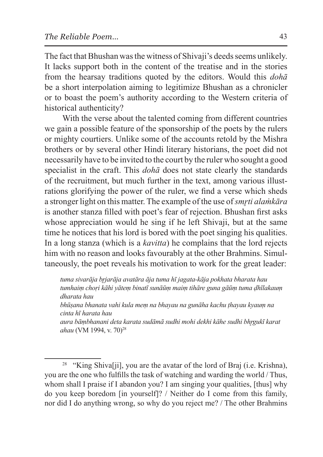The fact that Bhushan was the witness of Shivaji's deeds seems unlikely. It lacks support both in the content of the treatise and in the stories from the hearsay traditions quoted by the editors. Would this *dohā*  be a short interpolation aiming to legitimize Bhushan as a chronicler or to boast the poem's authority according to the Western criteria of historical authenticity?

With the verse about the talented coming from different countries we gain a possible feature of the sponsorship of the poets by the rulers or mighty courtiers. Unlike some of the accounts retold by the Mishra brothers or by several other Hindi literary historians, the poet did not necessarily have to be invited to the court by the ruler who sought a good specialist in the craft. This *dohā* does not state clearly the standards of the recruitment, but much further in the text, among various illustrations glorifying the power of the ruler, we find a verse which sheds a stronger light on this matter. The example of the use of *smr̥ti alaṁkāra* is another stanza filled with poet's fear of rejection. Bhushan first asks whose appreciation would he sing if he left Shivaji, but at the same time he notices that his lord is bored with the poet singing his qualities. In a long stanza (which is a *kavitta*) he complains that the lord rejects him with no reason and looks favourably at the other Brahmins. Simultaneously, the poet reveals his motivation to work for the great leader:

*tuma sivarāja br̥jarāja avatāra āja tuma hī jagata-kāja pokhata bharata hau tumhaiṃ choṛi kāhi yāteṃ binatī sunāūṃ maiṃ tihāre guna gāūṃ tuma ḍhīlakauṃ dharata hau*

*bhūṣana bhanata vahi kula meṃ na bhayau na gunāha kachu ṭhayau kyauṃ na cinta hī harata hau*

*aura bāṃbhanani deta karata sudāmā sudhi mohi dekhi kāhe sudhi bhr̥gukī karat* ahau (VM 1994, v. 70)<sup>28</sup>

<sup>&</sup>lt;sup>28</sup> "King Shiva<sup>[j]</sup>, you are the avatar of the lord of Braj (i.e. Krishna), you are the one who fulfills the task of watching and warding the world / Thus, whom shall I praise if I abandon you? I am singing your qualities, [thus] why do you keep boredom [in yourself]? / Neither do I come from this family, nor did I do anything wrong, so why do you reject me? / The other Brahmins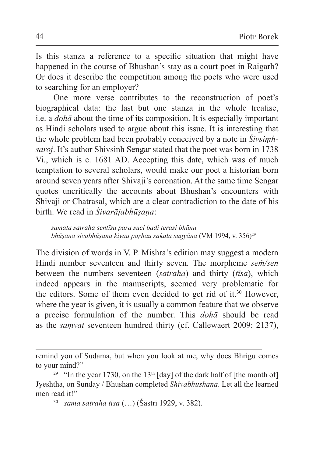Is this stanza a reference to a specific situation that might have happened in the course of Bhushan's stay as a court poet in Raigarh? Or does it describe the competition among the poets who were used to searching for an employer?

One more verse contributes to the reconstruction of poet's biographical data: the last but one stanza in the whole treatise, i.e. a *dohā* about the time of its composition. It is especially important as Hindi scholars used to argue about this issue. It is interesting that the whole problem had been probably conceived by a note in *Śivsiṃhsaroj*. It's author Shivsinh Sengar stated that the poet was born in 1738 Vi., which is c. 1681 AD. Accepting this date, which was of much temptation to several scholars, would make our poet a historian born around seven years after Shivaji's coronation. At the same time Sengar quotes uncritically the accounts about Bhushan's encounters with Shivaji or Chatrasal, which are a clear contradiction to the date of his birth. We read in *Śivarājabhūṣaṇa*:

*samata satraha sentīsa para suci badi terasi bhānu bhūṣana sivabhūṣana kiyau paṛhau sakala sugyāna* (VM 1994, v. 356)29

The division of words in V. P. Mishra's edition may suggest a modern Hindi number seventeen and thirty seven. The morpheme *seṁ/sen* between the numbers seventeen (*satraha*) and thirty (*tīsa*), which indeed appears in the manuscripts, seemed very problematic for the editors. Some of them even decided to get rid of it.<sup>30</sup> However, where the year is given, it is usually a common feature that we observe a precise formulation of the number. This *dohā* should be read as the *saṃvat* seventeen hundred thirty (cf. Callewaert 2009: 2137),

remind you of Sudama, but when you look at me, why does Bhrigu comes to your mind?"

<sup>&</sup>lt;sup>29</sup> "In the year 1730, on the 13<sup>th</sup>  $\lceil \frac{day}{\log n} \rceil$  of the dark half of  $\lceil \frac{1}{\log n} \rceil$ Jyeshtha, on Sunday / Bhushan completed *Shivabhushana*. Let all the learned men read it!"

<sup>30</sup> *sama satraha tīsa* (…) (Śāstrī 1929, v. 382).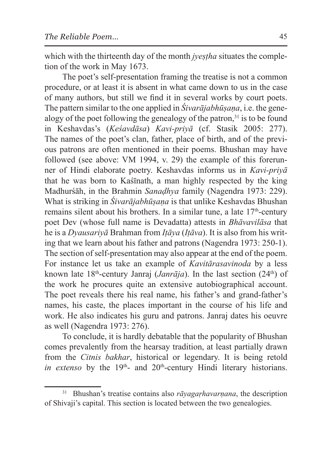which with the thirteenth day of the month *jyestha* situates the completion of the work in May 1673.

The poet's self-presentation framing the treatise is not a common procedure, or at least it is absent in what came down to us in the case of many authors, but still we find it in several works by court poets. The pattern similar to the one applied in *Śivarājabhūṣaṇa*, i.e. the genealogy of the poet following the genealogy of the patron.<sup>31</sup> is to be found in Keshavdas's (*Keśavdāsa*) *Kavi-priyā* (cf. Stasik 2005: 277). The names of the poet's clan, father, place of birth, and of the previous patrons are often mentioned in their poems. Bhushan may have followed (see above: VM 1994, v. 29) the example of this forerunner of Hindi elaborate poetry. Keshavdas informs us in *Kavi-priyā*  that he was born to Kaśīnath, a man highly respected by the king Madhurśāh, in the Brahmin *Sanaḍhya* family (Nagendra 1973: 229). What is striking in *Śivarājabhūṣaṇa* is that unlike Keshavdas Bhushan remains silent about his brothers. In a similar tune, a late  $17<sup>th</sup>$ -century poet Dev (whose full name is Devadatta) attests in *Bhāvavilāsa* that he is a *Dyausariyā* Brahman from *Iṭāya* (*Iṭāva*). It is also from his writing that we learn about his father and patrons (Nagendra 1973: 250-1). The section of self-presentation may also appear at the end of the poem. For instance let us take an example of *Kavitārasavinoda* by a less known late 18<sup>th</sup>-century Janraj (*Janrāja*). In the last section (24<sup>th</sup>) of the work he procures quite an extensive autobiographical account. The poet reveals there his real name, his father's and grand-father's names, his caste, the places important in the course of his life and work. He also indicates his guru and patrons. Janraj dates his oeuvre as well (Nagendra 1973: 276).

To conclude, it is hardly debatable that the popularity of Bhushan comes prevalently from the hearsay tradition, at least partially drawn from the *Citnis bakhar*, historical or legendary. It is being retold *in extenso* by the  $19<sup>th</sup>$ - and  $20<sup>th</sup>$ -century Hindi literary historians.

<sup>&</sup>lt;sup>31</sup> Bhushan's treatise contains also *rāyagarhavarnana*, the description of Shivaji's capital. This section is located between the two genealogies.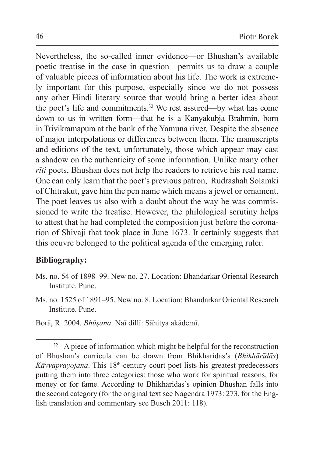Nevertheless, the so-called inner evidence—or Bhushan's available poetic treatise in the case in question—permits us to draw a couple of valuable pieces of information about his life. The work is extremely important for this purpose, especially since we do not possess any other Hindi literary source that would bring a better idea about the poet's life and commitments.32 We rest assured—by what has come down to us in written form—that he is a Kanyakubja Brahmin, born in Trivikramapura at the bank of the Yamuna river. Despite the absence of major interpolations or differences between them. The manuscripts and editions of the text, unfortunately, those which appear may cast a shadow on the authenticity of some information. Unlike many other *rīti* poets, Bhushan does not help the readers to retrieve his real name. One can only learn that the poet's previous patron, Rudrashah Solamki of Chitrakut, gave him the pen name which means a jewel or ornament. The poet leaves us also with a doubt about the way he was commissioned to write the treatise. However, the philological scrutiny helps to attest that he had completed the composition just before the coronation of Shivaji that took place in June 1673. It certainly suggests that this oeuvre belonged to the political agenda of the emerging ruler.

#### **Bibliography:**

- Ms. no. 54 of 1898–99. New no. 27. Location: Bhandarkar Oriental Research Institute. Pune.
- Ms. no. 1525 of 1891–95. New no. 8. Location: Bhandarkar Oriental Research Institute. Pune.

Borā, R. 2004. *Bhūṣana*. Naī dillī: Sāhitya akādemī.

 $32$  A piece of information which might be helpful for the reconstruction of Bhushan's curricula can be drawn from Bhikharidas's (*Bhikhārīdās*) *Kāvyaprayojana*. This 18<sup>th</sup>-century court poet lists his greatest predecessors putting them into three categories: those who work for spiritual reasons, for money or for fame. According to Bhikharidas's opinion Bhushan falls into the second category (for the original text see Nagendra 1973: 273, for the English translation and commentary see Busch 2011: 118).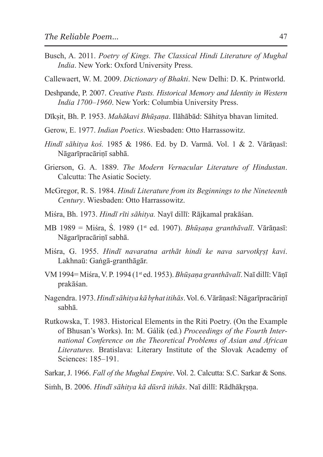- Busch, A. 2011. *Poetry of Kings. The Classical Hindi Literature of Mughal India*. New York: Oxford University Press.
- Callewaert, W. M. 2009. *Dictionary of Bhakti*. New Delhi: D. K. Printworld.
- Deshpande, P. 2007. *Creative Pasts. Historical Memory and Identity in Western India 1700–1960*. New York: Columbia University Press.
- Dīkṣit, Bh. P. 1953. *Mahākavi Bhūṣaṇa*. Ilāhābād: Sāhitya bhavan limited.
- Gerow, E. 1977. *Indian Poetics*. Wiesbaden: Otto Harrassowitz.
- *Hindī sāhitya koś.* 1985 & 1986. Ed. by D. Varmā. Vol. 1 & 2. Vārāṇasī: Nāgarīpracāriṇī sabhā.
- Grierson, G. A. 1889. *The Modern Vernacular Literature of Hindustan*. Calcutta: The Asiatic Society.
- McGregor, R. S. 1984. *Hindi Literature from its Beginnings to the Nineteenth Century*. Wiesbaden: Otto Harrassowitz.
- Miśra, Bh. 1973. *Hindī rīti sāhitya.* Nayī dillī: Rājkamal prakāśan.
- MB 1989 = Miśra, Ś. 1989 (1st ed. 1907). *Bhūṣaṇa granthāvalī*. Vārāṇasī: Nāgarīpracārinī sabhā.
- Miśra, G. 1955. *Hindī navaratna arthāt hindi ke nava sarvotkr̥ṣṭ kavi*. Lakhnaū: Gaṅgā-granthāgār.
- VM 1994= Miśra, V. P. 1994 (1st ed. 1953). *Bhūṣaṇa granthāvalī*. Naī dillī:Vāṇī prakāśan.
- Nagendra. 1973. *Hindīsāhitya kā br̥hat itihās*. Vol. 6. Vārāṇasī:Nāgarīpracāriṇī sabhā.
- Rutkowska, T. 1983. Historical Elements in the Riti Poetry. (On the Example of Bhusan's Works). In: M. Gálik (ed.) *Proceedings of the Fourth International Conference on the Theoretical Problems of Asian and African Literatures.* Bratislava: Literary Institute of the Slovak Academy of Sciences: 185–191.
- Sarkar, J. 1966. *Fall of the Mughal Empire*. Vol. 2. Calcutta: S.C. Sarkar & Sons.
- Simh, B. 2006. *Hindī sāhitya kā dūsrā itihās*. Naī dillī: Rādhākrsna.